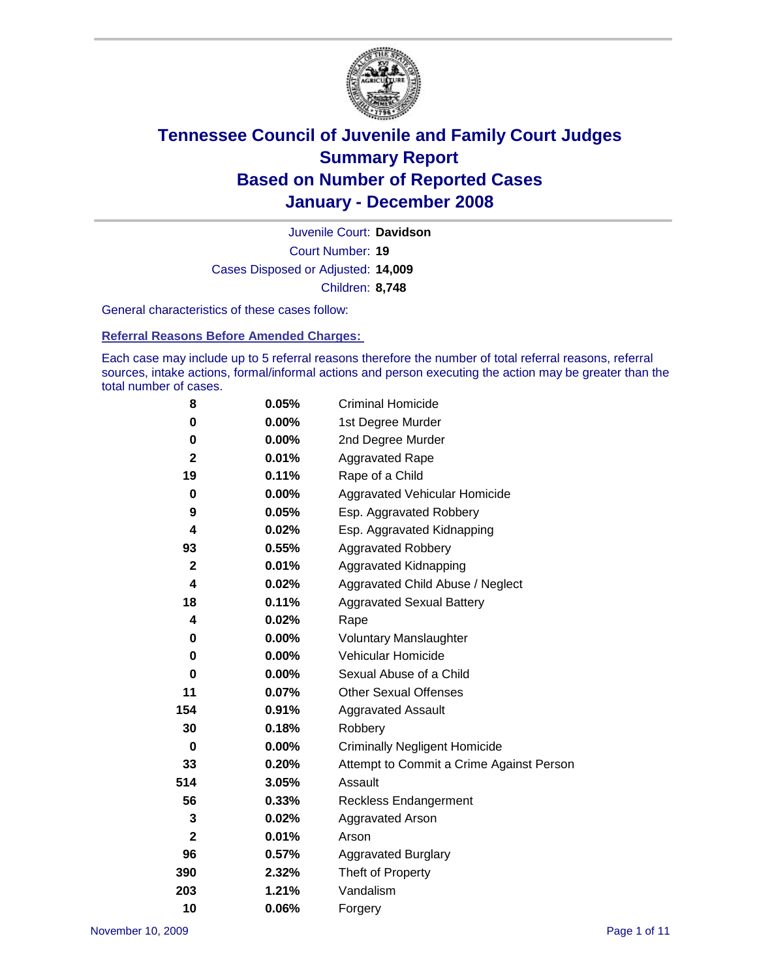

Court Number: **19** Juvenile Court: **Davidson** Cases Disposed or Adjusted: **14,009** Children: **8,748**

General characteristics of these cases follow:

**Referral Reasons Before Amended Charges:** 

Each case may include up to 5 referral reasons therefore the number of total referral reasons, referral sources, intake actions, formal/informal actions and person executing the action may be greater than the total number of cases.

| 8            | 0.05%    | <b>Criminal Homicide</b>                 |
|--------------|----------|------------------------------------------|
| 0            | 0.00%    | 1st Degree Murder                        |
| 0            | $0.00\%$ | 2nd Degree Murder                        |
| $\mathbf{2}$ | 0.01%    | <b>Aggravated Rape</b>                   |
| 19           | 0.11%    | Rape of a Child                          |
| 0            | 0.00%    | Aggravated Vehicular Homicide            |
| 9            | 0.05%    | Esp. Aggravated Robbery                  |
| 4            | $0.02\%$ | Esp. Aggravated Kidnapping               |
| 93           | 0.55%    | <b>Aggravated Robbery</b>                |
| $\mathbf{2}$ | 0.01%    | Aggravated Kidnapping                    |
| 4            | 0.02%    | Aggravated Child Abuse / Neglect         |
| 18           | 0.11%    | <b>Aggravated Sexual Battery</b>         |
| 4            | 0.02%    | Rape                                     |
| 0            | $0.00\%$ | <b>Voluntary Manslaughter</b>            |
| 0            | $0.00\%$ | Vehicular Homicide                       |
| 0            | 0.00%    | Sexual Abuse of a Child                  |
| 11           | 0.07%    | <b>Other Sexual Offenses</b>             |
| 154          | 0.91%    | <b>Aggravated Assault</b>                |
| 30           | 0.18%    | Robbery                                  |
| $\bf{0}$     | $0.00\%$ | <b>Criminally Negligent Homicide</b>     |
| 33           | 0.20%    | Attempt to Commit a Crime Against Person |
| 514          | 3.05%    | Assault                                  |
| 56           | 0.33%    | Reckless Endangerment                    |
| 3            | 0.02%    | <b>Aggravated Arson</b>                  |
| $\mathbf{2}$ | 0.01%    | Arson                                    |
| 96           | 0.57%    | <b>Aggravated Burglary</b>               |
| 390          | 2.32%    | Theft of Property                        |
| 203          | 1.21%    | Vandalism                                |
| 10           | 0.06%    | Forgery                                  |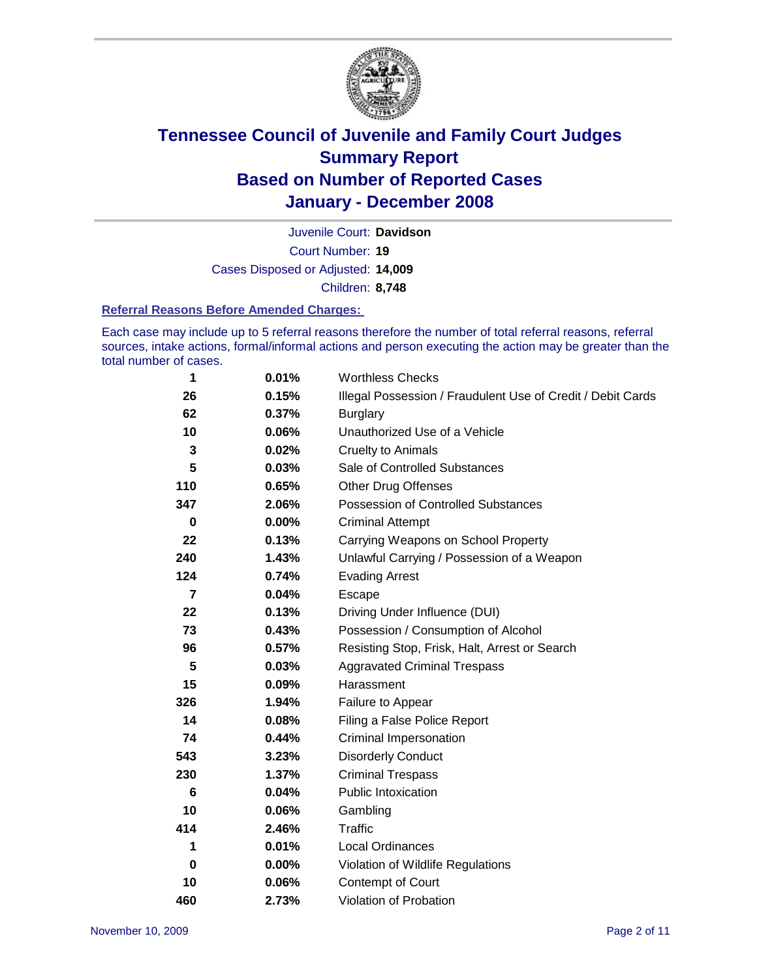

Court Number: **19** Juvenile Court: **Davidson** Cases Disposed or Adjusted: **14,009** Children: **8,748**

#### **Referral Reasons Before Amended Charges:**

Each case may include up to 5 referral reasons therefore the number of total referral reasons, referral sources, intake actions, formal/informal actions and person executing the action may be greater than the total number of cases.

| 1        | 0.01%    | <b>Worthless Checks</b>                                     |
|----------|----------|-------------------------------------------------------------|
| 26       | 0.15%    | Illegal Possession / Fraudulent Use of Credit / Debit Cards |
| 62       | 0.37%    | <b>Burglary</b>                                             |
| 10       | 0.06%    | Unauthorized Use of a Vehicle                               |
| 3        | 0.02%    | <b>Cruelty to Animals</b>                                   |
| 5        | 0.03%    | Sale of Controlled Substances                               |
| 110      | 0.65%    | <b>Other Drug Offenses</b>                                  |
| 347      | 2.06%    | <b>Possession of Controlled Substances</b>                  |
| $\bf{0}$ | $0.00\%$ | <b>Criminal Attempt</b>                                     |
| 22       | 0.13%    | Carrying Weapons on School Property                         |
| 240      | 1.43%    | Unlawful Carrying / Possession of a Weapon                  |
| 124      | 0.74%    | <b>Evading Arrest</b>                                       |
| 7        | 0.04%    | Escape                                                      |
| 22       | 0.13%    | Driving Under Influence (DUI)                               |
| 73       | 0.43%    | Possession / Consumption of Alcohol                         |
| 96       | 0.57%    | Resisting Stop, Frisk, Halt, Arrest or Search               |
| 5        | 0.03%    | <b>Aggravated Criminal Trespass</b>                         |
| 15       | 0.09%    | Harassment                                                  |
| 326      | 1.94%    | Failure to Appear                                           |
| 14       | 0.08%    | Filing a False Police Report                                |
| 74       | 0.44%    | Criminal Impersonation                                      |
| 543      | 3.23%    | <b>Disorderly Conduct</b>                                   |
| 230      | 1.37%    | <b>Criminal Trespass</b>                                    |
| 6        | 0.04%    | <b>Public Intoxication</b>                                  |
| 10       | 0.06%    | Gambling                                                    |
| 414      | 2.46%    | <b>Traffic</b>                                              |
| 1        | 0.01%    | <b>Local Ordinances</b>                                     |
| 0        | $0.00\%$ | Violation of Wildlife Regulations                           |
| 10       | 0.06%    | Contempt of Court                                           |
| 460      | 2.73%    | Violation of Probation                                      |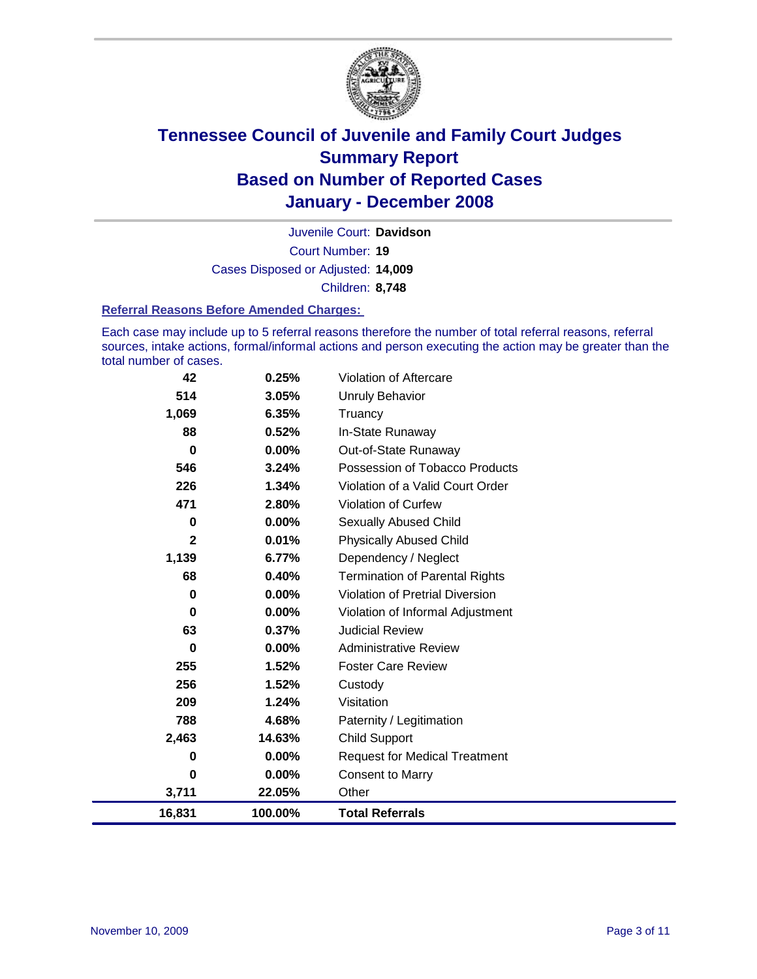

Court Number: **19** Juvenile Court: **Davidson** Cases Disposed or Adjusted: **14,009** Children: **8,748**

#### **Referral Reasons Before Amended Charges:**

Each case may include up to 5 referral reasons therefore the number of total referral reasons, referral sources, intake actions, formal/informal actions and person executing the action may be greater than the total number of cases.

| 42       | 0.25%    | Violation of Aftercare                |
|----------|----------|---------------------------------------|
| 514      | 3.05%    | <b>Unruly Behavior</b>                |
| 1,069    | 6.35%    | Truancy                               |
| 88       | 0.52%    | In-State Runaway                      |
| $\bf{0}$ | $0.00\%$ | Out-of-State Runaway                  |
| 546      | 3.24%    | Possession of Tobacco Products        |
| 226      | 1.34%    | Violation of a Valid Court Order      |
| 471      | 2.80%    | Violation of Curfew                   |
| 0        | $0.00\%$ | Sexually Abused Child                 |
| 2        | 0.01%    | <b>Physically Abused Child</b>        |
| 1,139    | 6.77%    | Dependency / Neglect                  |
| 68       | 0.40%    | <b>Termination of Parental Rights</b> |
| $\bf{0}$ | 0.00%    | Violation of Pretrial Diversion       |
| $\bf{0}$ | 0.00%    | Violation of Informal Adjustment      |
| 63       | 0.37%    | <b>Judicial Review</b>                |
| $\bf{0}$ | $0.00\%$ | <b>Administrative Review</b>          |
| 255      | 1.52%    | <b>Foster Care Review</b>             |
| 256      | 1.52%    | Custody                               |
| 209      | 1.24%    | Visitation                            |
| 788      | 4.68%    | Paternity / Legitimation              |
| 2,463    | 14.63%   | <b>Child Support</b>                  |
| 0        | 0.00%    | <b>Request for Medical Treatment</b>  |
| $\bf{0}$ | 0.00%    | <b>Consent to Marry</b>               |
| 3,711    | 22.05%   | Other                                 |
| 16,831   | 100.00%  | <b>Total Referrals</b>                |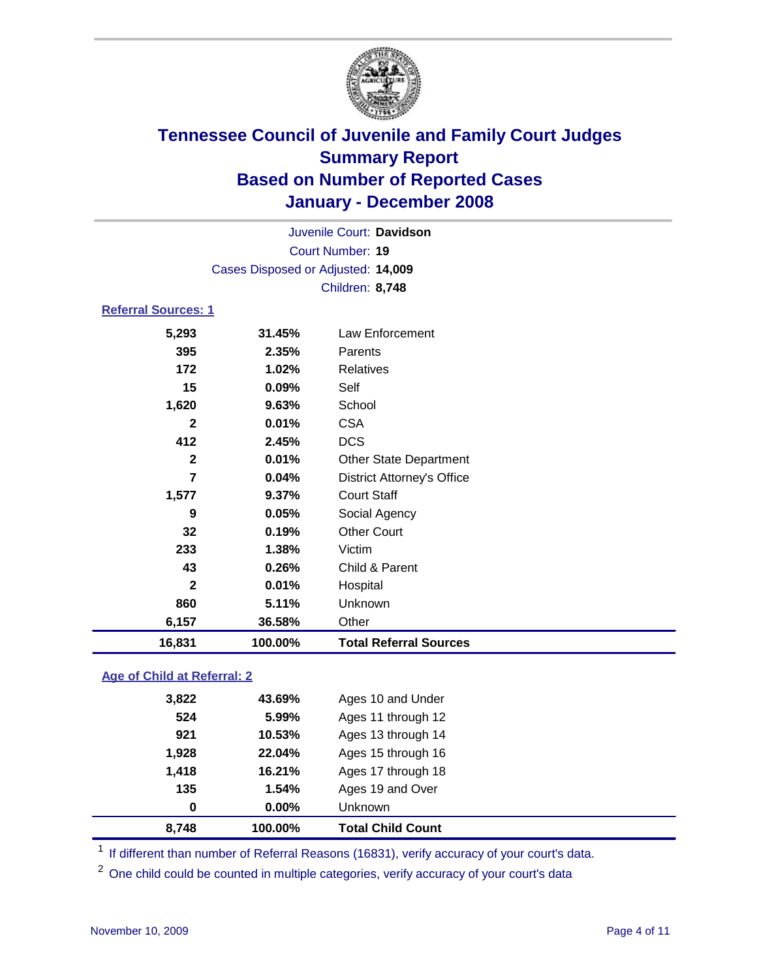

Court Number: **19** Juvenile Court: **Davidson** Cases Disposed or Adjusted: **14,009** Children: **8,748**

### **Referral Sources: 1**

| 16,831       | 100.00% | <b>Total Referral Sources</b>     |
|--------------|---------|-----------------------------------|
| 6,157        | 36.58%  | Other                             |
| 860          | 5.11%   | Unknown                           |
| $\mathbf{2}$ | 0.01%   | Hospital                          |
| 43           | 0.26%   | Child & Parent                    |
| 233          | 1.38%   | Victim                            |
| 32           | 0.19%   | <b>Other Court</b>                |
| 9            | 0.05%   | Social Agency                     |
| 1,577        | 9.37%   | <b>Court Staff</b>                |
| 7            | 0.04%   | <b>District Attorney's Office</b> |
| $\mathbf{2}$ | 0.01%   | <b>Other State Department</b>     |
| 412          | 2.45%   | <b>DCS</b>                        |
| 2            | 0.01%   | <b>CSA</b>                        |
| 1,620        | 9.63%   | School                            |
| 15           | 0.09%   | Self                              |
| 172          | 1.02%   | Relatives                         |
| 395          | 2.35%   | Parents                           |
| 5,293        | 31.45%  | Law Enforcement                   |
|              |         |                                   |

#### **Age of Child at Referral: 2**

| 8,748 | 100.00%    | <b>Total Child Count</b> |
|-------|------------|--------------------------|
|       | 0.00%<br>0 | <b>Unknown</b>           |
| 135   | 1.54%      | Ages 19 and Over         |
| 1,418 | 16.21%     | Ages 17 through 18       |
| 1,928 | 22.04%     | Ages 15 through 16       |
| 921   | 10.53%     | Ages 13 through 14       |
| 524   | 5.99%      | Ages 11 through 12       |
| 3,822 | 43.69%     | Ages 10 and Under        |
|       |            |                          |

<sup>1</sup> If different than number of Referral Reasons (16831), verify accuracy of your court's data.

<sup>2</sup> One child could be counted in multiple categories, verify accuracy of your court's data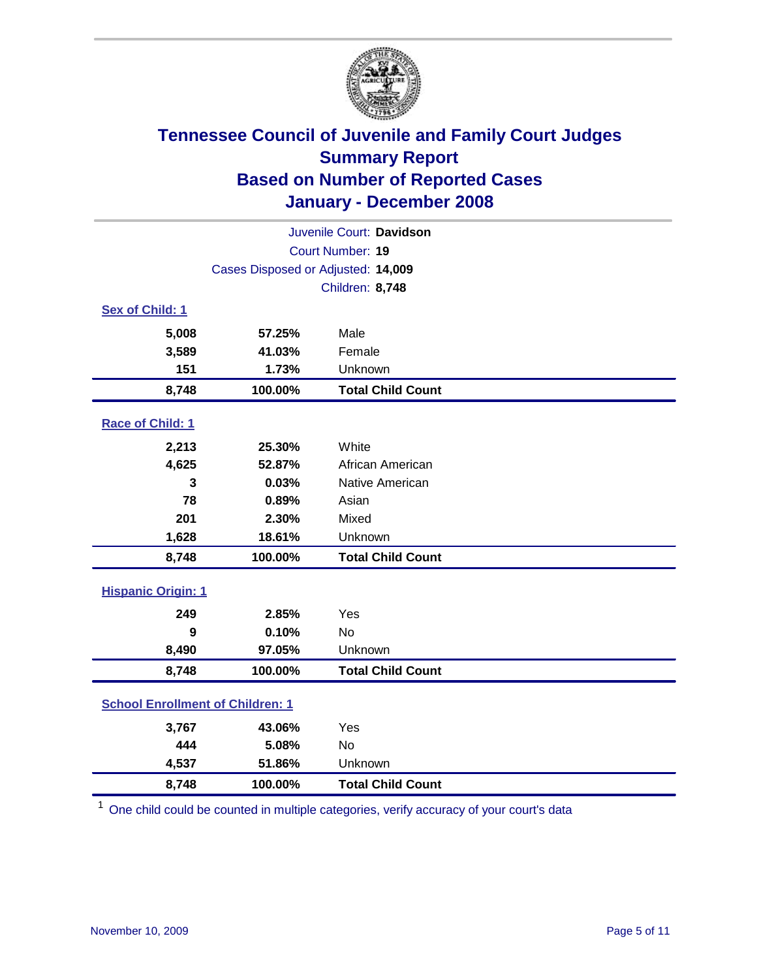

| Juvenile Court: Davidson                |                                    |                          |  |  |
|-----------------------------------------|------------------------------------|--------------------------|--|--|
| Court Number: 19                        |                                    |                          |  |  |
|                                         | Cases Disposed or Adjusted: 14,009 |                          |  |  |
|                                         |                                    | Children: 8,748          |  |  |
| Sex of Child: 1                         |                                    |                          |  |  |
| 5,008                                   | 57.25%                             | Male                     |  |  |
| 3,589                                   | 41.03%                             | Female                   |  |  |
| 151                                     | 1.73%                              | Unknown                  |  |  |
| 8,748                                   | 100.00%                            | <b>Total Child Count</b> |  |  |
| Race of Child: 1                        |                                    |                          |  |  |
| 2,213                                   | 25.30%                             | White                    |  |  |
| 4,625                                   | 52.87%                             | African American         |  |  |
| 3                                       | 0.03%                              | Native American          |  |  |
| 78                                      | 0.89%                              | Asian                    |  |  |
| 201                                     | 2.30%                              | Mixed                    |  |  |
| 1,628                                   | 18.61%                             | Unknown                  |  |  |
| 8,748                                   | 100.00%                            | <b>Total Child Count</b> |  |  |
| <b>Hispanic Origin: 1</b>               |                                    |                          |  |  |
| 249                                     | 2.85%                              | Yes                      |  |  |
| 9                                       | 0.10%                              | No                       |  |  |
| 8,490                                   | 97.05%                             | Unknown                  |  |  |
| 8,748                                   | 100.00%                            | <b>Total Child Count</b> |  |  |
| <b>School Enrollment of Children: 1</b> |                                    |                          |  |  |
| 3,767                                   | 43.06%                             | Yes                      |  |  |
| 444                                     | 5.08%                              | <b>No</b>                |  |  |
| 4,537                                   | 51.86%                             | Unknown                  |  |  |
| 8,748                                   | 100.00%                            | <b>Total Child Count</b> |  |  |

<sup>1</sup> One child could be counted in multiple categories, verify accuracy of your court's data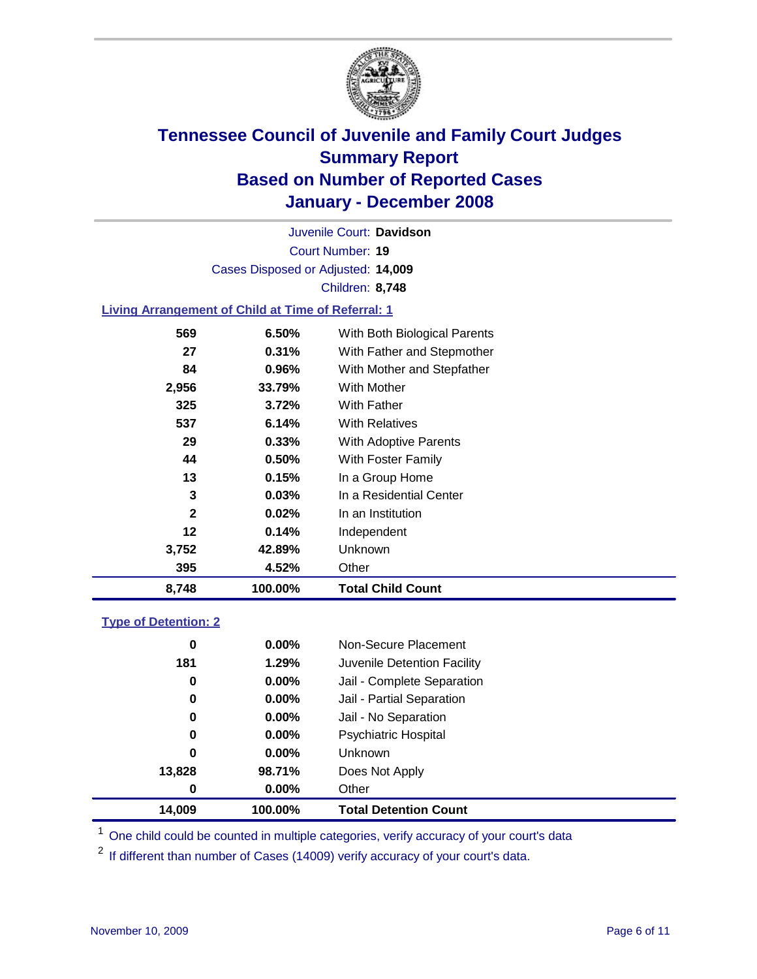

Court Number: **19** Juvenile Court: **Davidson** Cases Disposed or Adjusted: **14,009** Children: **8,748**

#### **Living Arrangement of Child at Time of Referral: 1**

| 8,748        | 100.00% | <b>Total Child Count</b>     |
|--------------|---------|------------------------------|
| 395          | 4.52%   | Other                        |
| 3,752        | 42.89%  | Unknown                      |
| 12           | 0.14%   | Independent                  |
| $\mathbf{2}$ | 0.02%   | In an Institution            |
| 3            | 0.03%   | In a Residential Center      |
| 13           | 0.15%   | In a Group Home              |
| 44           | 0.50%   | With Foster Family           |
| 29           | 0.33%   | With Adoptive Parents        |
| 537          | 6.14%   | <b>With Relatives</b>        |
| 325          | 3.72%   | <b>With Father</b>           |
| 2,956        | 33.79%  | With Mother                  |
| 84           | 0.96%   | With Mother and Stepfather   |
| 27           | 0.31%   | With Father and Stepmother   |
| 569          | 6.50%   | With Both Biological Parents |
|              |         |                              |

#### **Type of Detention: 2**

| 14,009 | 100.00%  | <b>Total Detention Count</b> |  |
|--------|----------|------------------------------|--|
| 0      | 0.00%    | Other                        |  |
| 13,828 | 98.71%   | Does Not Apply               |  |
| 0      | $0.00\%$ | Unknown                      |  |
| 0      | 0.00%    | <b>Psychiatric Hospital</b>  |  |
| 0      | $0.00\%$ | Jail - No Separation         |  |
| 0      | $0.00\%$ | Jail - Partial Separation    |  |
| 0      | $0.00\%$ | Jail - Complete Separation   |  |
| 181    | 1.29%    | Juvenile Detention Facility  |  |
| 0      | $0.00\%$ | Non-Secure Placement         |  |
|        |          |                              |  |

<sup>1</sup> One child could be counted in multiple categories, verify accuracy of your court's data

<sup>2</sup> If different than number of Cases (14009) verify accuracy of your court's data.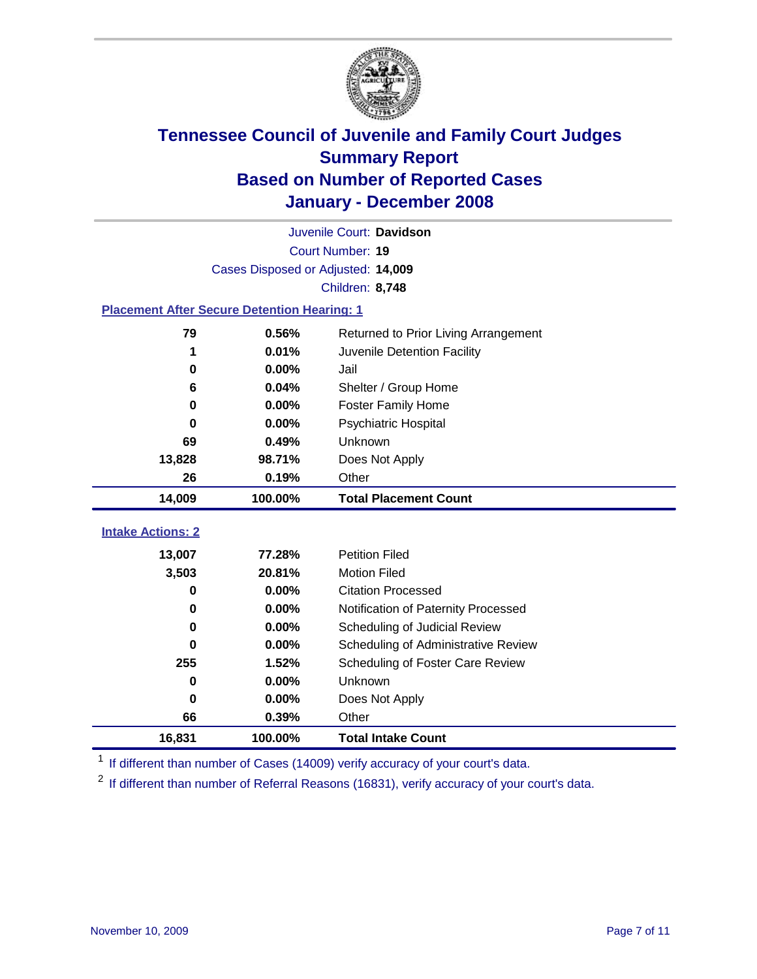

| Juvenile Court: Davidson                           |                                    |                                      |  |  |  |
|----------------------------------------------------|------------------------------------|--------------------------------------|--|--|--|
|                                                    | Court Number: 19                   |                                      |  |  |  |
|                                                    | Cases Disposed or Adjusted: 14,009 |                                      |  |  |  |
|                                                    |                                    | Children: 8,748                      |  |  |  |
| <b>Placement After Secure Detention Hearing: 1</b> |                                    |                                      |  |  |  |
| 79                                                 | 0.56%                              | Returned to Prior Living Arrangement |  |  |  |
| 1                                                  | 0.01%                              | Juvenile Detention Facility          |  |  |  |
| $\bf{0}$                                           | 0.00%                              | Jail                                 |  |  |  |
| 6                                                  | 0.04%                              | Shelter / Group Home                 |  |  |  |
| 0                                                  | 0.00%                              | <b>Foster Family Home</b>            |  |  |  |
| $\bf{0}$                                           | 0.00%                              | Psychiatric Hospital                 |  |  |  |
| 69                                                 | 0.49%                              | Unknown                              |  |  |  |
| 13,828                                             | 98.71%                             | Does Not Apply                       |  |  |  |
| 26                                                 | 0.19%                              | Other                                |  |  |  |
| 14,009                                             | 100.00%                            | <b>Total Placement Count</b>         |  |  |  |
| <b>Intake Actions: 2</b>                           |                                    |                                      |  |  |  |
|                                                    |                                    |                                      |  |  |  |
| 13,007                                             | 77.28%                             | <b>Petition Filed</b>                |  |  |  |
| 3,503                                              | 20.81%                             | <b>Motion Filed</b>                  |  |  |  |
| 0                                                  | 0.00%                              | <b>Citation Processed</b>            |  |  |  |
| 0                                                  | 0.00%                              | Notification of Paternity Processed  |  |  |  |
| $\bf{0}$                                           | 0.00%                              | Scheduling of Judicial Review        |  |  |  |
| $\bf{0}$                                           | 0.00%                              | Scheduling of Administrative Review  |  |  |  |
| 255                                                | 1.52%                              | Scheduling of Foster Care Review     |  |  |  |
| 0                                                  | 0.00%                              | Unknown                              |  |  |  |
| 0                                                  | 0.00%                              | Does Not Apply                       |  |  |  |
| 66                                                 | 0.39%                              | Other                                |  |  |  |
|                                                    |                                    |                                      |  |  |  |

<sup>1</sup> If different than number of Cases (14009) verify accuracy of your court's data.

<sup>2</sup> If different than number of Referral Reasons (16831), verify accuracy of your court's data.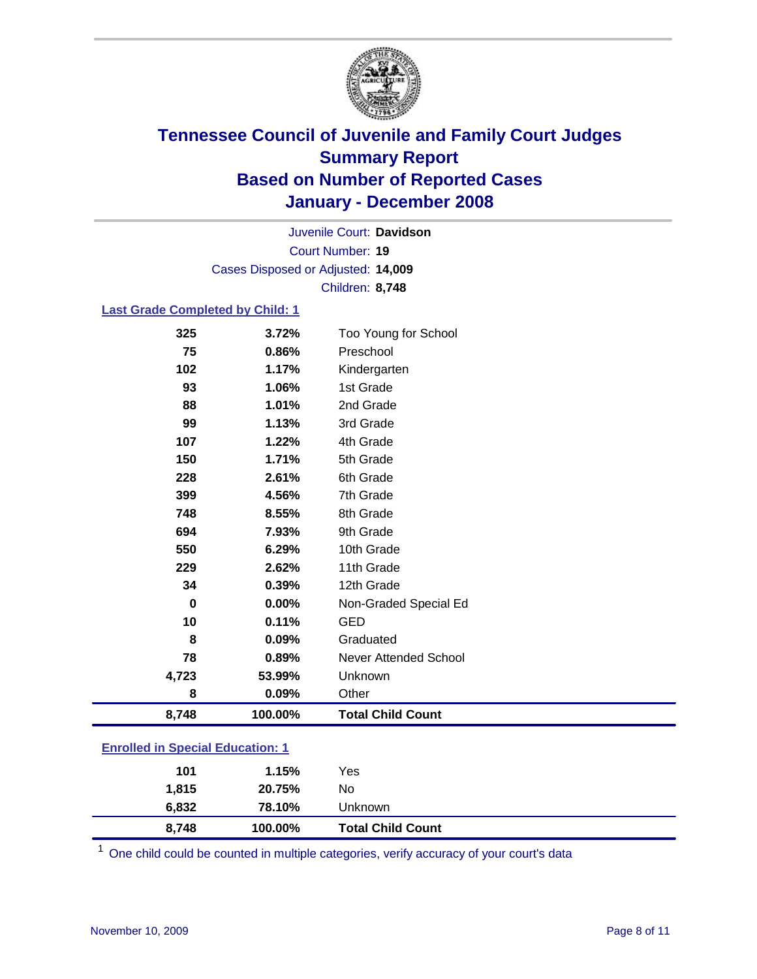

Court Number: **19** Juvenile Court: **Davidson** Cases Disposed or Adjusted: **14,009** Children: **8,748**

#### **Last Grade Completed by Child: 1**

| 8,748 | 100.00% | <b>Total Child Count</b> |
|-------|---------|--------------------------|
| 8     | 0.09%   | Other                    |
| 4,723 | 53.99%  | Unknown                  |
| 78    | 0.89%   | Never Attended School    |
| 8     | 0.09%   | Graduated                |
| 10    | 0.11%   | <b>GED</b>               |
| 0     | 0.00%   | Non-Graded Special Ed    |
| 34    | 0.39%   | 12th Grade               |
| 229   | 2.62%   | 11th Grade               |
| 550   | 6.29%   | 10th Grade               |
| 694   | 7.93%   | 9th Grade                |
| 748   | 8.55%   | 8th Grade                |
| 399   | 4.56%   | 7th Grade                |
| 228   | 2.61%   | 6th Grade                |
| 150   | 1.71%   | 5th Grade                |
| 107   | 1.22%   | 4th Grade                |
| 99    | 1.13%   | 3rd Grade                |
| 88    | 1.01%   | 2nd Grade                |
| 93    | 1.06%   | 1st Grade                |
| 102   | 1.17%   | Kindergarten             |
| 75    | 0.86%   | Preschool                |
| 325   | 3.72%   | Too Young for School     |

### **Enrolled in Special Education: 1**

<sup>1</sup> One child could be counted in multiple categories, verify accuracy of your court's data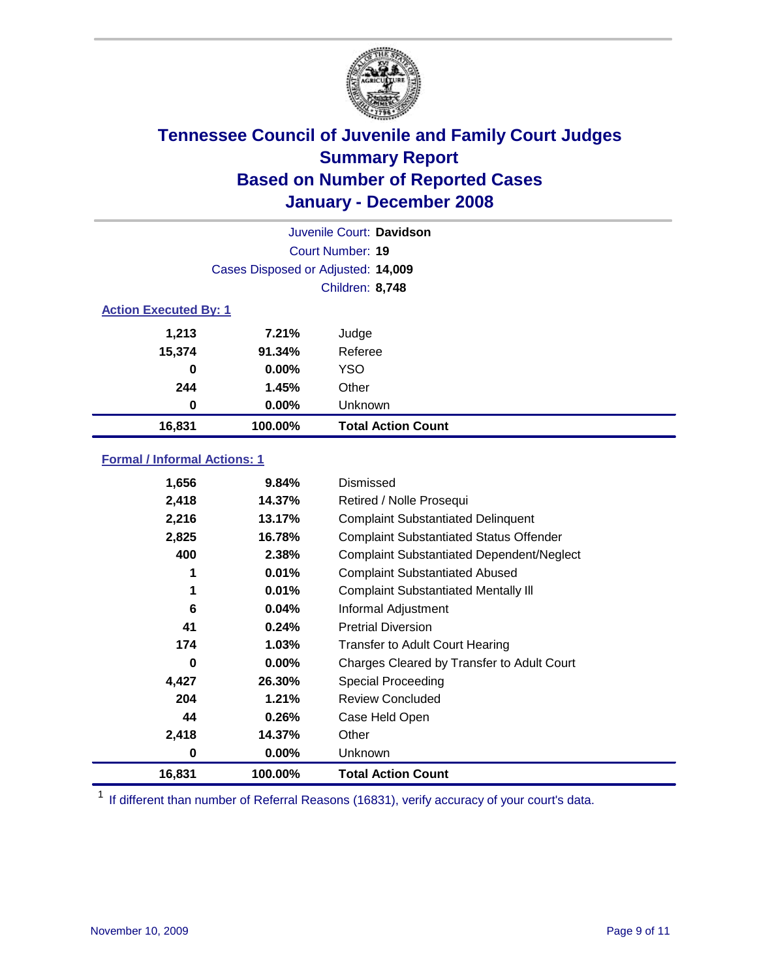

| Juvenile Court: Davidson     |                                    |                           |  |  |  |
|------------------------------|------------------------------------|---------------------------|--|--|--|
|                              | Court Number: 19                   |                           |  |  |  |
|                              | Cases Disposed or Adjusted: 14,009 |                           |  |  |  |
|                              | Children: 8,748                    |                           |  |  |  |
| <b>Action Executed By: 1</b> |                                    |                           |  |  |  |
| 1,213                        | 7.21%                              | Judge                     |  |  |  |
| 15,374                       | 91.34%                             | Referee                   |  |  |  |
| $\bf{0}$                     | $0.00\%$                           | <b>YSO</b>                |  |  |  |
| 244                          | 1.45%                              | Other                     |  |  |  |
| 0                            | $0.00\%$                           | Unknown                   |  |  |  |
| 16,831                       | 100.00%                            | <b>Total Action Count</b> |  |  |  |

### **Formal / Informal Actions: 1**

| 1,656  | 9.84%    | Dismissed                                        |
|--------|----------|--------------------------------------------------|
| 2,418  | 14.37%   | Retired / Nolle Prosequi                         |
| 2,216  | 13.17%   | <b>Complaint Substantiated Delinquent</b>        |
| 2,825  | 16.78%   | <b>Complaint Substantiated Status Offender</b>   |
| 400    | 2.38%    | <b>Complaint Substantiated Dependent/Neglect</b> |
| 1      | 0.01%    | <b>Complaint Substantiated Abused</b>            |
| 1      | 0.01%    | <b>Complaint Substantiated Mentally III</b>      |
| 6      | 0.04%    | Informal Adjustment                              |
| 41     | 0.24%    | <b>Pretrial Diversion</b>                        |
| 174    | $1.03\%$ | <b>Transfer to Adult Court Hearing</b>           |
| 0      | $0.00\%$ | Charges Cleared by Transfer to Adult Court       |
| 4,427  | 26.30%   | Special Proceeding                               |
| 204    | 1.21%    | <b>Review Concluded</b>                          |
| 44     | 0.26%    | Case Held Open                                   |
| 2,418  | 14.37%   | Other                                            |
| 0      | 0.00%    | <b>Unknown</b>                                   |
| 16,831 | 100.00%  | <b>Total Action Count</b>                        |

<sup>1</sup> If different than number of Referral Reasons (16831), verify accuracy of your court's data.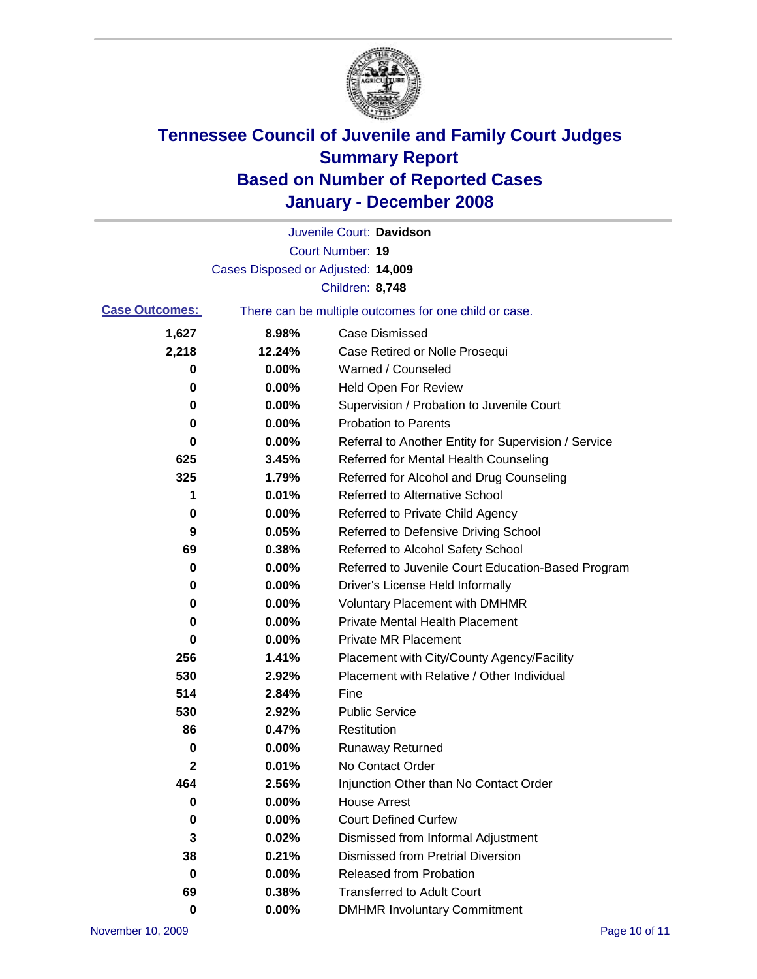

|                                                                                |                                    | Juvenile Court: Davidson                             |
|--------------------------------------------------------------------------------|------------------------------------|------------------------------------------------------|
|                                                                                |                                    | <b>Court Number: 19</b>                              |
|                                                                                | Cases Disposed or Adjusted: 14,009 |                                                      |
|                                                                                |                                    | Children: 8,748                                      |
| <b>Case Outcomes:</b><br>There can be multiple outcomes for one child or case. |                                    |                                                      |
| 1,627                                                                          | 8.98%                              | <b>Case Dismissed</b>                                |
| 2,218                                                                          | 12.24%                             | Case Retired or Nolle Prosequi                       |
| 0                                                                              | 0.00%                              | Warned / Counseled                                   |
| 0                                                                              | 0.00%                              | <b>Held Open For Review</b>                          |
| 0                                                                              | 0.00%                              | Supervision / Probation to Juvenile Court            |
| 0                                                                              | 0.00%                              | <b>Probation to Parents</b>                          |
| 0                                                                              | 0.00%                              | Referral to Another Entity for Supervision / Service |
| 625                                                                            | 3.45%                              | Referred for Mental Health Counseling                |
| 325                                                                            | 1.79%                              | Referred for Alcohol and Drug Counseling             |
| 1                                                                              | 0.01%                              | <b>Referred to Alternative School</b>                |
| 0                                                                              | 0.00%                              | Referred to Private Child Agency                     |
| 9                                                                              | 0.05%                              | Referred to Defensive Driving School                 |
| 69                                                                             | 0.38%                              | Referred to Alcohol Safety School                    |
| 0                                                                              | 0.00%                              | Referred to Juvenile Court Education-Based Program   |
| 0                                                                              | 0.00%                              | Driver's License Held Informally                     |
| 0                                                                              | 0.00%                              | <b>Voluntary Placement with DMHMR</b>                |
| 0                                                                              | 0.00%                              | <b>Private Mental Health Placement</b>               |
| 0                                                                              | 0.00%                              | Private MR Placement                                 |
| 256                                                                            | 1.41%                              | Placement with City/County Agency/Facility           |
| 530                                                                            | 2.92%                              | Placement with Relative / Other Individual           |
| 514                                                                            | 2.84%                              | Fine                                                 |
| 530                                                                            | 2.92%                              | <b>Public Service</b>                                |
| 86                                                                             | 0.47%                              | Restitution                                          |
| 0                                                                              | 0.00%                              | <b>Runaway Returned</b>                              |
| 2                                                                              | 0.01%                              | No Contact Order                                     |
| 464                                                                            | 2.56%                              | Injunction Other than No Contact Order               |
| 0                                                                              | 0.00%                              | <b>House Arrest</b>                                  |
| 0                                                                              | 0.00%                              | <b>Court Defined Curfew</b>                          |
| 3                                                                              | 0.02%                              | Dismissed from Informal Adjustment                   |
| 38                                                                             | 0.21%                              | <b>Dismissed from Pretrial Diversion</b>             |
| 0                                                                              | 0.00%                              | <b>Released from Probation</b>                       |
| 69                                                                             | 0.38%                              | <b>Transferred to Adult Court</b>                    |
| 0                                                                              | 0.00%                              | <b>DMHMR Involuntary Commitment</b>                  |